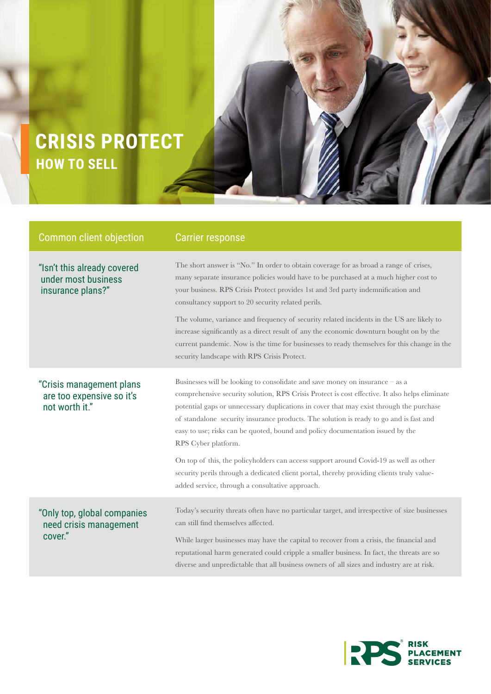## **HOW TO SELL CRISIS PROTECT**

| <b>Common client objection</b>                                          | <b>Carrier response</b>                                                                                                                                                                                                                                                                                                                                                                                                                                                                                                                                                                                                                                            |
|-------------------------------------------------------------------------|--------------------------------------------------------------------------------------------------------------------------------------------------------------------------------------------------------------------------------------------------------------------------------------------------------------------------------------------------------------------------------------------------------------------------------------------------------------------------------------------------------------------------------------------------------------------------------------------------------------------------------------------------------------------|
| "Isn't this already covered<br>under most business<br>insurance plans?" | The short answer is "No." In order to obtain coverage for as broad a range of crises,<br>many separate insurance policies would have to be purchased at a much higher cost to<br>your business. RPS Crisis Protect provides 1st and 3rd party indemnification and<br>consultancy support to 20 security related perils.<br>The volume, variance and frequency of security related incidents in the US are likely to<br>increase significantly as a direct result of any the economic downturn bought on by the<br>current pandemic. Now is the time for businesses to ready themselves for this change in the<br>security landscape with RPS Crisis Protect.       |
| "Crisis management plans<br>are too expensive so it's<br>not worth it." | Businesses will be looking to consolidate and save money on insurance - as a<br>comprehensive security solution, RPS Crisis Protect is cost effective. It also helps eliminate<br>potential gaps or unnecessary duplications in cover that may exist through the purchase<br>of standalone security insurance products. The solution is ready to go and is fast and<br>easy to use; risks can be quoted, bound and policy documentation issued by the<br>RPS Cyber platform.<br>On top of this, the policyholders can access support around Covid-19 as well as other<br>security perils through a dedicated client portal, thereby providing clients truly value- |
| "Only top, global companies<br>need crisis management<br>cover."        | added service, through a consultative approach.<br>Today's security threats often have no particular target, and irrespective of size businesses<br>can still find themselves affected.<br>While larger businesses may have the capital to recover from a crisis, the financial and<br>reputational harm generated could cripple a smaller business. In fact, the threats are so<br>diverse and unpredictable that all business owners of all sizes and industry are at risk.                                                                                                                                                                                      |